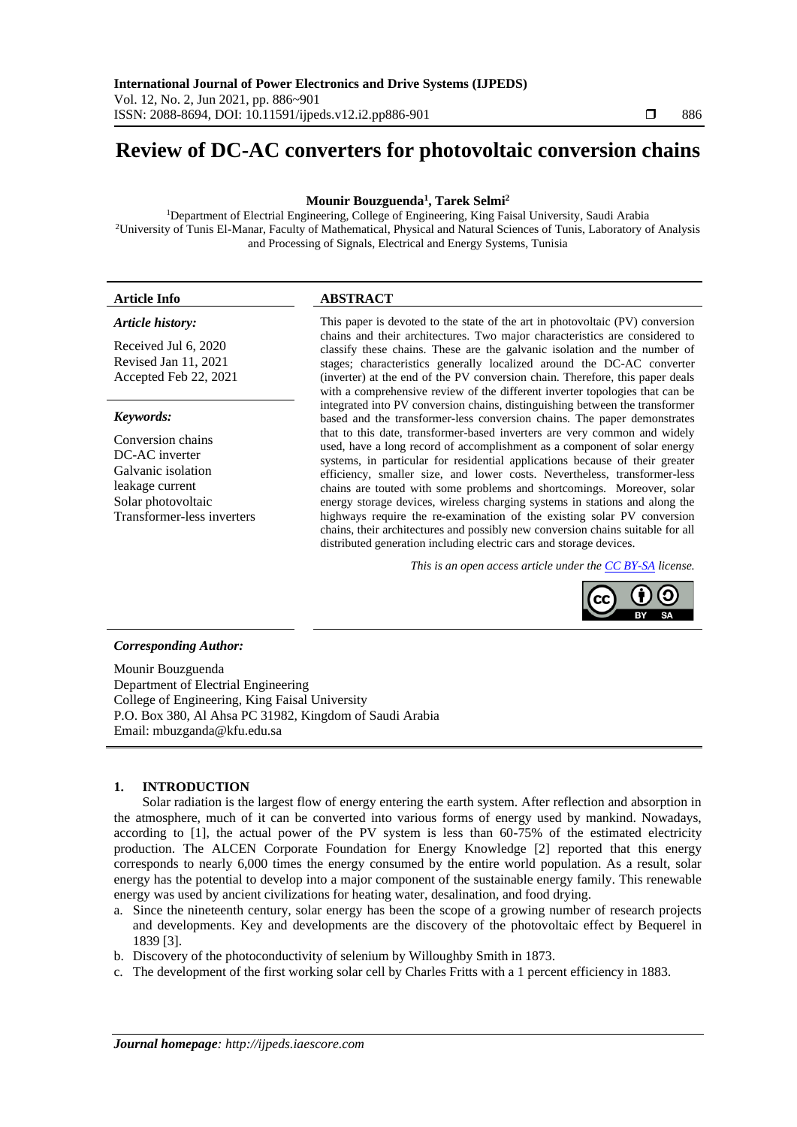# **Review of DC-AC converters for photovoltaic conversion chains**

## **Mounir Bouzguenda<sup>1</sup> , Tarek Selmi<sup>2</sup>**

<sup>1</sup>Department of Electrial Engineering, College of Engineering, King Faisal University, Saudi Arabia <sup>2</sup>University of Tunis El-Manar, Faculty of Mathematical, Physical and Natural Sciences of Tunis, Laboratory of Analysis and Processing of Signals, Electrical and Energy Systems, Tunisia

#### *Article history:*

Received Jul 6, 2020 Revised Jan 11, 2021 Accepted Feb 22, 2021

#### *Keywords:*

Conversion chains DC-AC inverter Galvanic isolation leakage current Solar photovoltaic Transformer-less inverters

## **Article Info ABSTRACT**

This paper is devoted to the state of the art in photovoltaic (PV) conversion chains and their architectures. Two major characteristics are considered to classify these chains. These are the galvanic isolation and the number of stages; characteristics generally localized around the DC-AC converter (inverter) at the end of the PV conversion chain. Therefore, this paper deals with a comprehensive review of the different inverter topologies that can be integrated into PV conversion chains, distinguishing between the transformer based and the transformer-less conversion chains. The paper demonstrates that to this date, transformer-based inverters are very common and widely used, have a long record of accomplishment as a component of solar energy systems, in particular for residential applications because of their greater efficiency, smaller size, and lower costs. Nevertheless, transformer-less chains are touted with some problems and shortcomings. Moreover, solar energy storage devices, wireless charging systems in stations and along the highways require the re-examination of the existing solar PV conversion chains, their architectures and possibly new conversion chains suitable for all distributed generation including electric cars and storage devices.

*This is an open access article under the [CC BY-SA](https://creativecommons.org/licenses/by-sa/4.0/) license.*



#### *Corresponding Author:*

Mounir Bouzguenda Department of Electrial Engineering College of Engineering, King Faisal University P.O. Box 380, Al Ahsa PC 31982, Kingdom of Saudi Arabia Email: mbuzganda@kfu.edu.sa

## **1. INTRODUCTION**

Solar radiation is the largest flow of energy entering the earth system. After reflection and absorption in the atmosphere, much of it can be converted into various forms of energy used by mankind. Nowadays, according to [1], the actual power of the PV system is less than 60-75% of the estimated electricity production. The ALCEN Corporate Foundation for Energy Knowledge [2] reported that this energy corresponds to nearly 6,000 times the energy consumed by the entire world population. As a result, solar energy has the potential to develop into a major component of the sustainable energy family. This renewable energy was used by ancient civilizations for heating water, desalination, and food drying.

- a. Since the nineteenth century, solar energy has been the scope of a growing number of research projects and developments. Key and developments are the discovery of the photovoltaic effect by Bequerel in 1839 [3].
- b. Discovery of the photoconductivity of selenium by Willoughby Smith in 1873.
- c. The development of the first working solar cell by Charles Fritts with a 1 percent efficiency in 1883.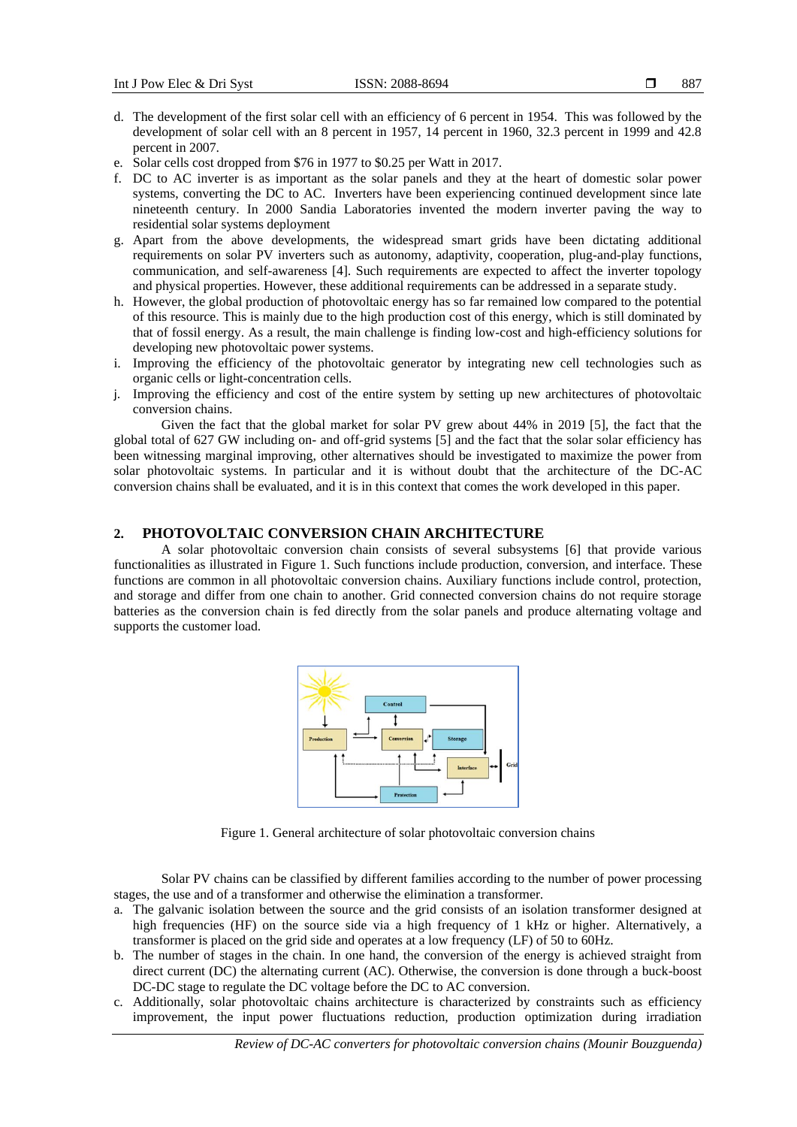- d. The development of the first solar cell with an efficiency of 6 percent in 1954. This was followed by the development of solar cell with an 8 percent in 1957, 14 percent in 1960, 32.3 percent in 1999 and 42.8 percent in 2007.
- e. Solar cells cost dropped from \$76 in 1977 to \$0.25 per Watt in 2017.
- f. DC to AC inverter is as important as the solar panels and they at the heart of domestic solar power systems, converting the DC to AC. Inverters have been experiencing continued development since late nineteenth century. In 2000 Sandia Laboratories invented the modern inverter paving the way to residential solar systems deployment
- g. Apart from the above developments, the widespread smart grids have been dictating additional requirements on solar PV inverters such as autonomy, adaptivity, cooperation, plug-and-play functions, communication, and self-awareness [4]. Such requirements are expected to affect the inverter topology and physical properties. However, these additional requirements can be addressed in a separate study.
- h. However, the global production of photovoltaic energy has so far remained low compared to the potential of this resource. This is mainly due to the high production cost of this energy, which is still dominated by that of fossil energy. As a result, the main challenge is finding low-cost and high-efficiency solutions for developing new photovoltaic power systems.
- i. Improving the efficiency of the photovoltaic generator by integrating new cell technologies such as organic cells or light-concentration cells.
- j. Improving the efficiency and cost of the entire system by setting up new architectures of photovoltaic conversion chains.

Given the fact that the global market for solar PV grew about 44% in 2019 [5], the fact that the global total of 627 GW including on- and off-grid systems [5] and the fact that the solar solar efficiency has been witnessing marginal improving, other alternatives should be investigated to maximize the power from solar photovoltaic systems. In particular and it is without doubt that the architecture of the DC-AC conversion chains shall be evaluated, and it is in this context that comes the work developed in this paper.

## **2. PHOTOVOLTAIC CONVERSION CHAIN ARCHITECTURE**

A solar photovoltaic conversion chain consists of several subsystems [6] that provide various functionalities as illustrated in Figure 1. Such functions include production, conversion, and interface. These functions are common in all photovoltaic conversion chains. Auxiliary functions include control, protection, and storage and differ from one chain to another. Grid connected conversion chains do not require storage batteries as the conversion chain is fed directly from the solar panels and produce alternating voltage and supports the customer load.



Figure 1. General architecture of solar photovoltaic conversion chains

Solar PV chains can be classified by different families according to the number of power processing stages, the use and of a transformer and otherwise the elimination a transformer.

- a. The galvanic isolation between the source and the grid consists of an isolation transformer designed at high frequencies (HF) on the source side via a high frequency of 1 kHz or higher. Alternatively, a transformer is placed on the grid side and operates at a low frequency (LF) of 50 to 60Hz.
- b. The number of stages in the chain. In one hand, the conversion of the energy is achieved straight from direct current (DC) the alternating current (AC). Otherwise, the conversion is done through a buck-boost DC-DC stage to regulate the DC voltage before the DC to AC conversion.
- c. Additionally, solar photovoltaic chains architecture is characterized by constraints such as efficiency improvement, the input power fluctuations reduction, production optimization during irradiation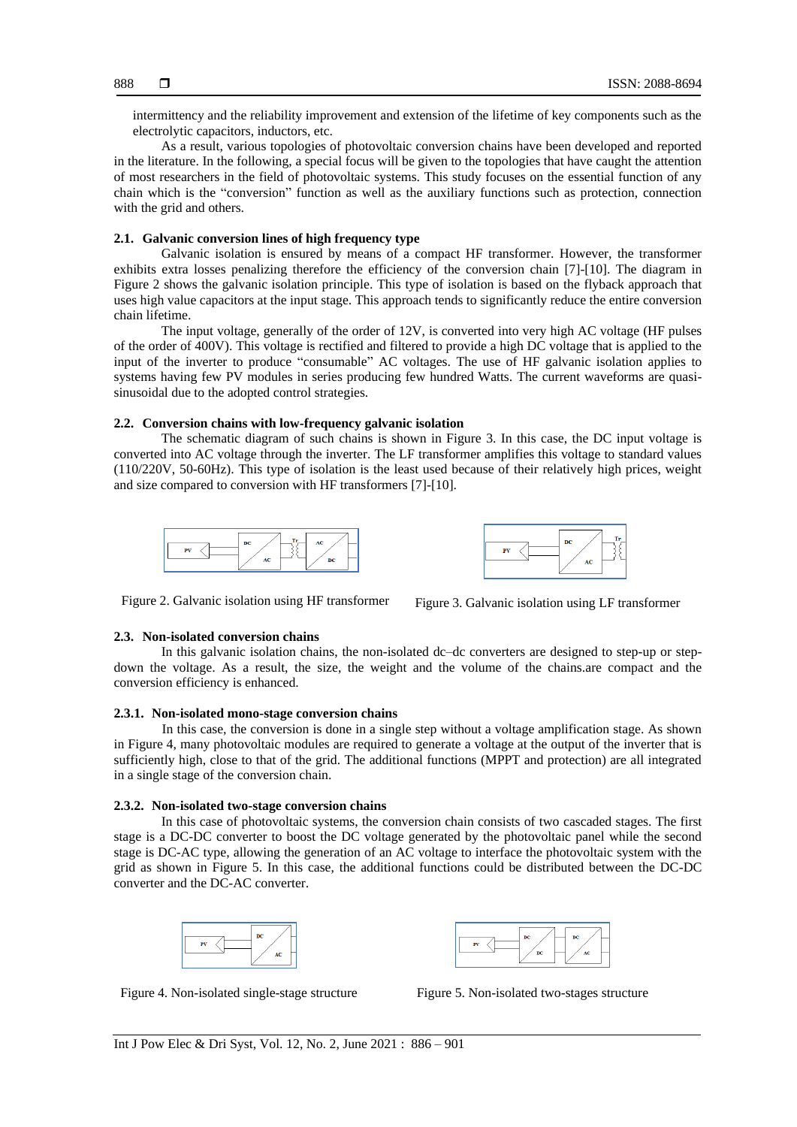intermittency and the reliability improvement and extension of the lifetime of key components such as the electrolytic capacitors, inductors, etc.

As a result, various topologies of photovoltaic conversion chains have been developed and reported in the literature. In the following, a special focus will be given to the topologies that have caught the attention of most researchers in the field of photovoltaic systems. This study focuses on the essential function of any chain which is the "conversion" function as well as the auxiliary functions such as protection, connection with the grid and others.

#### **2.1. Galvanic conversion lines of high frequency type**

Galvanic isolation is ensured by means of a compact HF transformer. However, the transformer exhibits extra losses penalizing therefore the efficiency of the conversion chain [7]-[10]. The diagram in Figure 2 shows the galvanic isolation principle. This type of isolation is based on the flyback approach that uses high value capacitors at the input stage. This approach tends to significantly reduce the entire conversion chain lifetime.

The input voltage, generally of the order of 12V, is converted into very high AC voltage (HF pulses of the order of 400V). This voltage is rectified and filtered to provide a high DC voltage that is applied to the input of the inverter to produce "consumable" AC voltages. The use of HF galvanic isolation applies to systems having few PV modules in series producing few hundred Watts. The current waveforms are quasisinusoidal due to the adopted control strategies.

#### **2.2. Conversion chains with low-frequency galvanic isolation**

The schematic diagram of such chains is shown in Figure 3. In this case, the DC input voltage is converted into AC voltage through the inverter. The LF transformer amplifies this voltage to standard values (110/220V, 50-60Hz). This type of isolation is the least used because of their relatively high prices, weight and size compared to conversion with HF transformers [7]-[10].





Figure 2. Galvanic isolation using HF transformer Figure 3. Galvanic isolation using LF transformer

## **2.3. Non-isolated conversion chains**

In this galvanic isolation chains, the non-isolated dc–dc converters are designed to step-up or stepdown the voltage. As a result, the size, the weight and the volume of the chains.are compact and the conversion efficiency is enhanced.

## **2.3.1. Non-isolated mono-stage conversion chains**

In this case, the conversion is done in a single step without a voltage amplification stage. As shown in Figure 4, many photovoltaic modules are required to generate a voltage at the output of the inverter that is sufficiently high, close to that of the grid. The additional functions (MPPT and protection) are all integrated in a single stage of the conversion chain.

#### **2.3.2. Non-isolated two-stage conversion chains**

In this case of photovoltaic systems, the conversion chain consists of two cascaded stages. The first stage is a DC-DC converter to boost the DC voltage generated by the photovoltaic panel while the second stage is DC-AC type, allowing the generation of an AC voltage to interface the photovoltaic system with the grid as shown in Figure 5. In this case, the additional functions could be distributed between the DC-DC converter and the DC-AC converter.





Figure 4. Non-isolated single-stage structure Figure 5. Non-isolated two-stages structure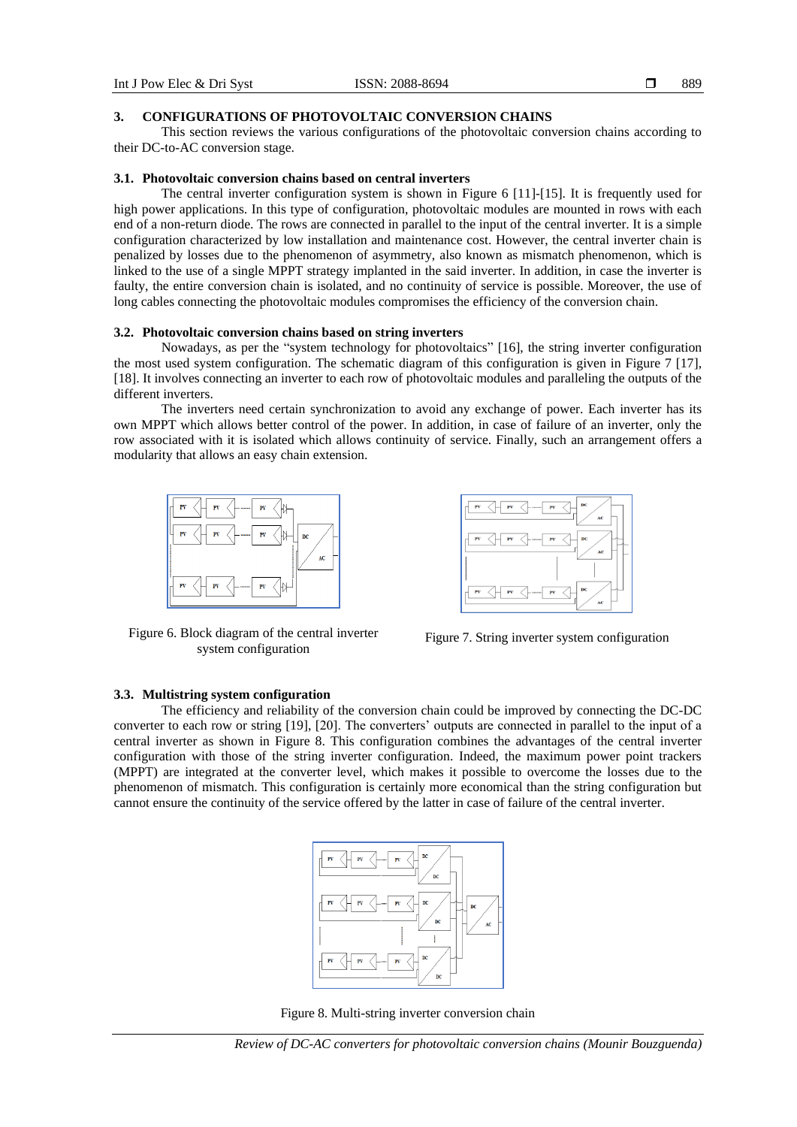889

#### **3. CONFIGURATIONS OF PHOTOVOLTAIC CONVERSION CHAINS**

This section reviews the various configurations of the photovoltaic conversion chains according to their DC-to-AC conversion stage.

## **3.1. Photovoltaic conversion chains based on central inverters**

The central inverter configuration system is shown in Figure 6 [11]-[15]. It is frequently used for high power applications. In this type of configuration, photovoltaic modules are mounted in rows with each end of a non-return diode. The rows are connected in parallel to the input of the central inverter. It is a simple configuration characterized by low installation and maintenance cost. However, the central inverter chain is penalized by losses due to the phenomenon of asymmetry, also known as mismatch phenomenon, which is linked to the use of a single MPPT strategy implanted in the said inverter. In addition, in case the inverter is faulty, the entire conversion chain is isolated, and no continuity of service is possible. Moreover, the use of long cables connecting the photovoltaic modules compromises the efficiency of the conversion chain.

## **3.2. Photovoltaic conversion chains based on string inverters**

Nowadays, as per the "system technology for photovoltaics" [16], the string inverter configuration the most used system configuration. The schematic diagram of this configuration is given in Figure 7 [17], [18]. It involves connecting an inverter to each row of photovoltaic modules and paralleling the outputs of the different inverters.

The inverters need certain synchronization to avoid any exchange of power. Each inverter has its own MPPT which allows better control of the power. In addition, in case of failure of an inverter, only the row associated with it is isolated which allows continuity of service. Finally, such an arrangement offers a modularity that allows an easy chain extension.



Figure 6. Block diagram of the central inverter system configuration



Figure 7. String inverter system configuration

## **3.3. Multistring system configuration**

The efficiency and reliability of the conversion chain could be improved by connecting the DC-DC converter to each row or string [19], [20]. The converters' outputs are connected in parallel to the input of a central inverter as shown in Figure 8. This configuration combines the advantages of the central inverter configuration with those of the string inverter configuration. Indeed, the maximum power point trackers (MPPT) are integrated at the converter level, which makes it possible to overcome the losses due to the phenomenon of mismatch. This configuration is certainly more economical than the string configuration but cannot ensure the continuity of the service offered by the latter in case of failure of the central inverter.



Figure 8. Multi-string inverter conversion chain

*Review of DC-AC converters for photovoltaic conversion chains (Mounir Bouzguenda)*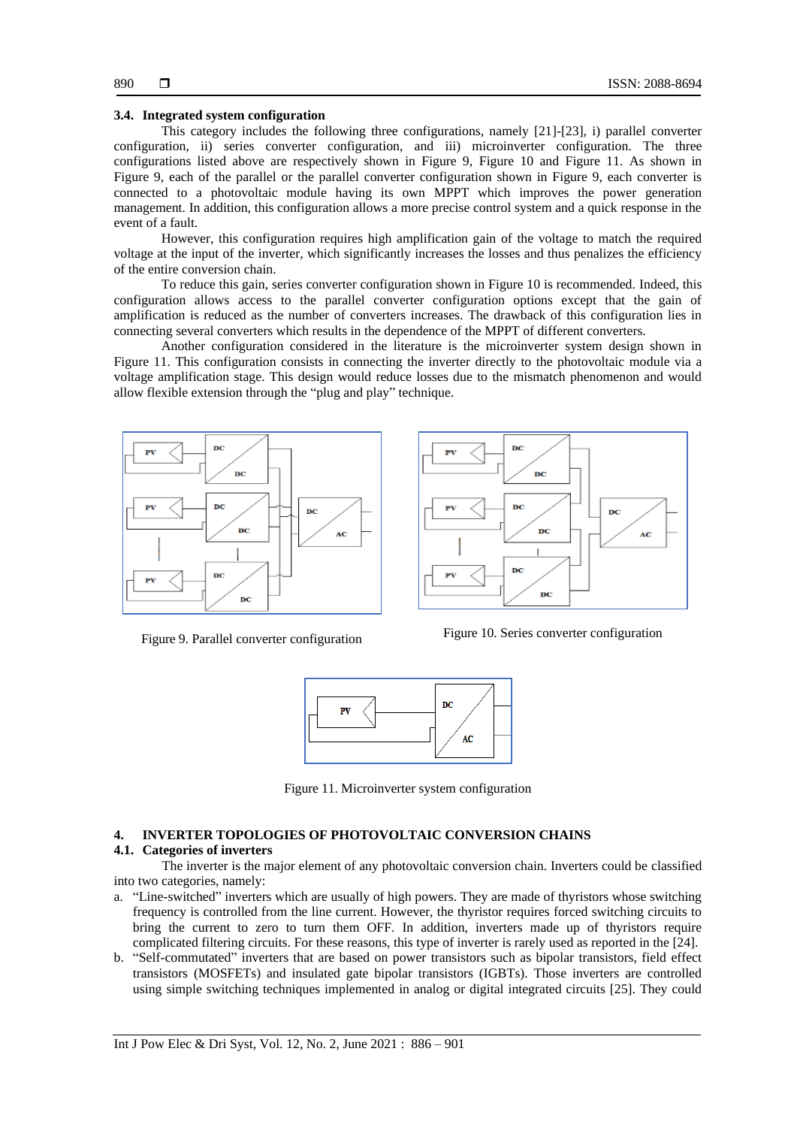#### **3.4. Integrated system configuration**

This category includes the following three configurations, namely [21]-[23], i) parallel converter configuration, ii) series converter configuration, and iii) microinverter configuration. The three configurations listed above are respectively shown in Figure 9, Figure 10 and Figure 11. As shown in Figure 9, each of the parallel or the parallel converter configuration shown in Figure 9, each converter is connected to a photovoltaic module having its own MPPT which improves the power generation management. In addition, this configuration allows a more precise control system and a quick response in the event of a fault.

However, this configuration requires high amplification gain of the voltage to match the required voltage at the input of the inverter, which significantly increases the losses and thus penalizes the efficiency of the entire conversion chain.

To reduce this gain, series converter configuration shown in Figure 10 is recommended. Indeed, this configuration allows access to the parallel converter configuration options except that the gain of amplification is reduced as the number of converters increases. The drawback of this configuration lies in connecting several converters which results in the dependence of the MPPT of different converters.

Another configuration considered in the literature is the microinverter system design shown in Figure 11. This configuration consists in connecting the inverter directly to the photovoltaic module via a voltage amplification stage. This design would reduce losses due to the mismatch phenomenon and would allow flexible extension through the "plug and play" technique.





Figure 9. Parallel converter configuration Figure 10. Series converter configuration



Figure 11. Microinverter system configuration

## **4. INVERTER TOPOLOGIES OF PHOTOVOLTAIC CONVERSION CHAINS**

## **4.1. Categories of inverters**

The inverter is the major element of any photovoltaic conversion chain. Inverters could be classified into two categories, namely:

- a. "Line-switched" inverters which are usually of high powers. They are made of thyristors whose switching frequency is controlled from the line current. However, the thyristor requires forced switching circuits to bring the current to zero to turn them OFF. In addition, inverters made up of thyristors require complicated filtering circuits. For these reasons, this type of inverter is rarely used as reported in the [24].
- b. "Self-commutated" inverters that are based on power transistors such as bipolar transistors, field effect transistors (MOSFETs) and insulated gate bipolar transistors (IGBTs). Those inverters are controlled using simple switching techniques implemented in analog or digital integrated circuits [25]. They could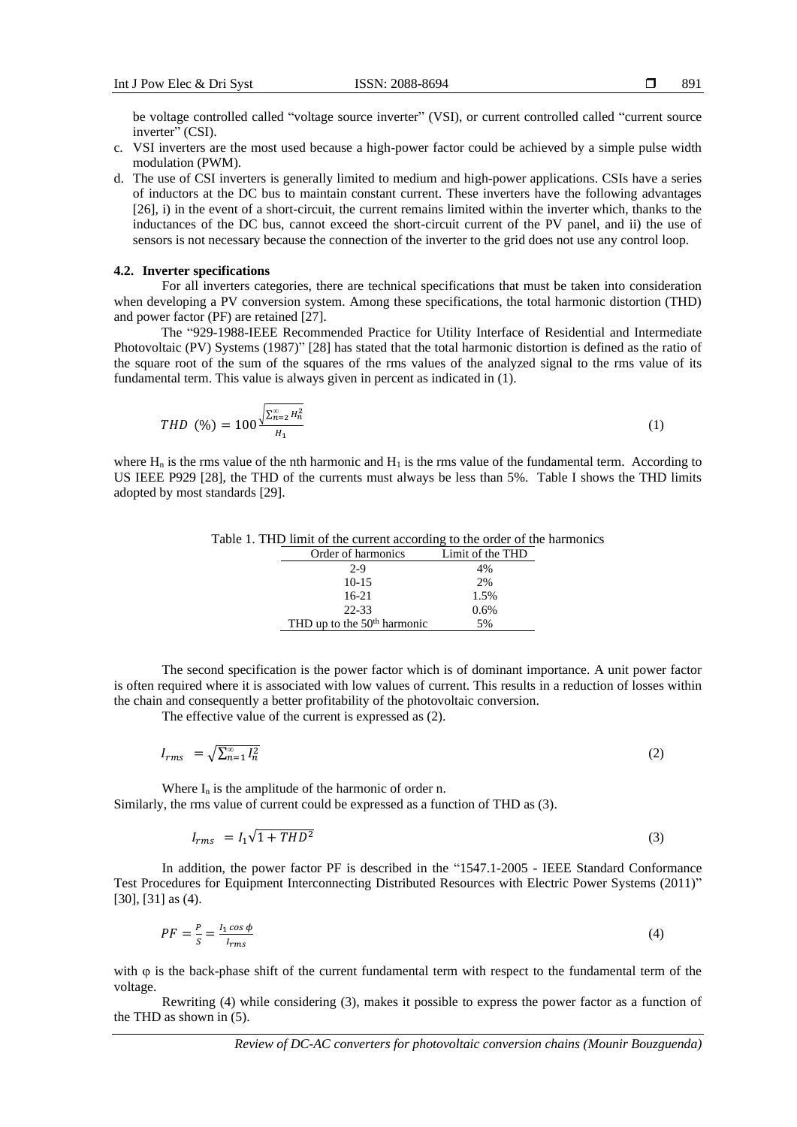be voltage controlled called "voltage source inverter" (VSI), or current controlled called "current source inverter" (CSI).

- c. VSI inverters are the most used because a high-power factor could be achieved by a simple pulse width modulation (PWM).
- d. The use of CSI inverters is generally limited to medium and high-power applications. CSIs have a series of inductors at the DC bus to maintain constant current. These inverters have the following advantages [26], i) in the event of a short-circuit, the current remains limited within the inverter which, thanks to the inductances of the DC bus, cannot exceed the short-circuit current of the PV panel, and ii) the use of sensors is not necessary because the connection of the inverter to the grid does not use any control loop.

#### **4.2. Inverter specifications**

For all inverters categories, there are technical specifications that must be taken into consideration when developing a PV conversion system. Among these specifications, the total harmonic distortion (THD) and power factor (PF) are retained [27].

The "929-1988-IEEE Recommended Practice for Utility Interface of Residential and Intermediate Photovoltaic (PV) Systems (1987)" [28] has stated that the total harmonic distortion is defined as the ratio of the square root of the sum of the squares of the rms values of the analyzed signal to the rms value of its fundamental term. This value is always given in percent as indicated in (1).

$$
THD (%) = 100 \frac{\sqrt{\sum_{n=2}^{\infty} H_n^2}}{H_1}
$$
 (1)

where  $H_n$  is the rms value of the nth harmonic and  $H_1$  is the rms value of the fundamental term. According to US IEEE P929 [28], the THD of the currents must always be less than 5%. Table I shows the THD limits adopted by most standards [29].

| Table 1. THD limit of the current according to the order of the harmonics |  |
|---------------------------------------------------------------------------|--|
|---------------------------------------------------------------------------|--|

| Order of harmonics            | Limit of the THD |
|-------------------------------|------------------|
| $2-9$                         | 4%               |
| $10 - 15$                     | 2%               |
| $16-21$                       | 1.5%             |
| $22 - 33$                     | 0.6%             |
| THD up to the $50th$ harmonic | 5%               |

The second specification is the power factor which is of dominant importance. A unit power factor is often required where it is associated with low values of current. This results in a reduction of losses within the chain and consequently a better profitability of the photovoltaic conversion.

The effective value of the current is expressed as (2).

$$
I_{rms} = \sqrt{\sum_{n=1}^{\infty} I_n^2}
$$
 (2)

Where  $I_n$  is the amplitude of the harmonic of order n. Similarly, the rms value of current could be expressed as a function of THD as (3).

$$
I_{rms} = I_1 \sqrt{1 + THD^2} \tag{3}
$$

In addition, the power factor PF is described in the "1547.1-2005 - IEEE Standard Conformance Test Procedures for Equipment Interconnecting Distributed Resources with Electric Power Systems (2011)" [30], [31] as (4).

$$
PF = \frac{P}{S} = \frac{I_1 \cos \phi}{I_{rms}} \tag{4}
$$

with  $\varphi$  is the back-phase shift of the current fundamental term with respect to the fundamental term of the voltage.

Rewriting (4) while considering (3), makes it possible to express the power factor as a function of the THD as shown in (5).

(2)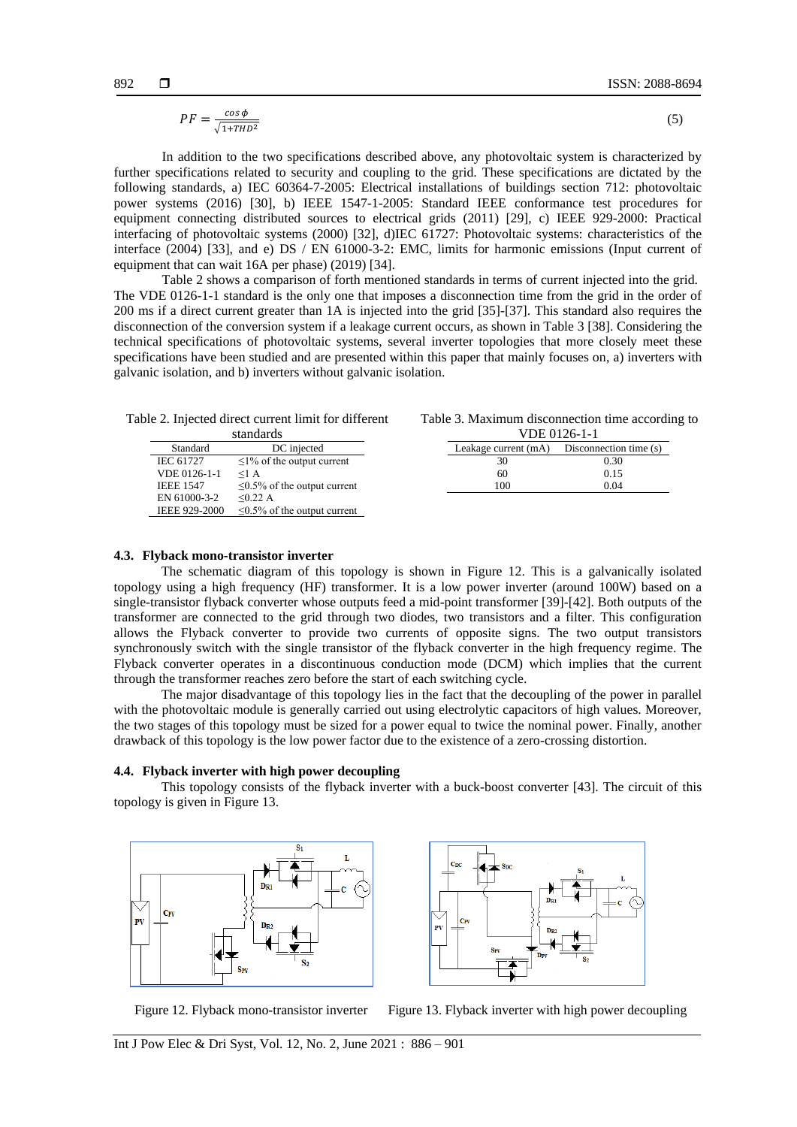$$
PF = \frac{\cos \phi}{\sqrt{1 + THD^2}}\tag{5}
$$

In addition to the two specifications described above, any photovoltaic system is characterized by further specifications related to security and coupling to the grid. These specifications are dictated by the following standards, a) IEC 60364-7-2005: Electrical installations of buildings section 712: photovoltaic power systems (2016) [30], b) IEEE 1547-1-2005: Standard IEEE conformance test procedures for equipment connecting distributed sources to electrical grids (2011) [29], c) IEEE 929-2000: Practical interfacing of photovoltaic systems (2000) [32], d)IEC 61727: Photovoltaic systems: characteristics of the interface (2004) [33], and e) DS / EN 61000-3-2: EMC, limits for harmonic emissions (Input current of equipment that can wait 16A per phase) (2019) [34].

Table 2 shows a comparison of forth mentioned standards in terms of current injected into the grid. The VDE 0126-1-1 standard is the only one that imposes a disconnection time from the grid in the order of 200 ms if a direct current greater than 1A is injected into the grid [35]-[37]. This standard also requires the disconnection of the conversion system if a leakage current occurs, as shown in Table 3 [38]. Considering the technical specifications of photovoltaic systems, several inverter topologies that more closely meet these specifications have been studied and are presented within this paper that mainly focuses on, a) inverters with galvanic isolation, and b) inverters without galvanic isolation.

| standards            |                                    |  |
|----------------------|------------------------------------|--|
| Standard             | DC injected                        |  |
| <b>IEC 61727</b>     | $\leq$ 1% of the output current    |  |
| VDE 0126-1-1         | $<1$ A                             |  |
| <b>IEEE 1547</b>     | $\leq 0.5\%$ of the output current |  |
| EN 61000-3-2         | < 0.22 A                           |  |
| <b>IEEE 929-2000</b> | $\leq 0.5\%$ of the output current |  |

| Table 3. Maximum disconnection time according to |  |
|--------------------------------------------------|--|
| VDE 0126-1-1                                     |  |

| .                    |                        |  |
|----------------------|------------------------|--|
| Leakage current (mA) | Disconnection time (s) |  |
| 30                   | 0.30                   |  |
| 60                   | 0.15                   |  |
| 100                  | 0.04                   |  |

#### **4.3. Flyback mono-transistor inverter**

The schematic diagram of this topology is shown in Figure 12. This is a galvanically isolated topology using a high frequency (HF) transformer. It is a low power inverter (around 100W) based on a single-transistor flyback converter whose outputs feed a mid-point transformer [39]-[42]. Both outputs of the transformer are connected to the grid through two diodes, two transistors and a filter. This configuration allows the Flyback converter to provide two currents of opposite signs. The two output transistors synchronously switch with the single transistor of the flyback converter in the high frequency regime. The Flyback converter operates in a discontinuous conduction mode (DCM) which implies that the current through the transformer reaches zero before the start of each switching cycle.

The major disadvantage of this topology lies in the fact that the decoupling of the power in parallel with the photovoltaic module is generally carried out using electrolytic capacitors of high values. Moreover, the two stages of this topology must be sized for a power equal to twice the nominal power. Finally, another drawback of this topology is the low power factor due to the existence of a zero-crossing distortion.

#### **4.4. Flyback inverter with high power decoupling**

This topology consists of the flyback inverter with a buck-boost converter [43]. The circuit of this topology is given in Figure 13.





Figure 12. Flyback mono-transistor inverter Figure 13. Flyback inverter with high power decoupling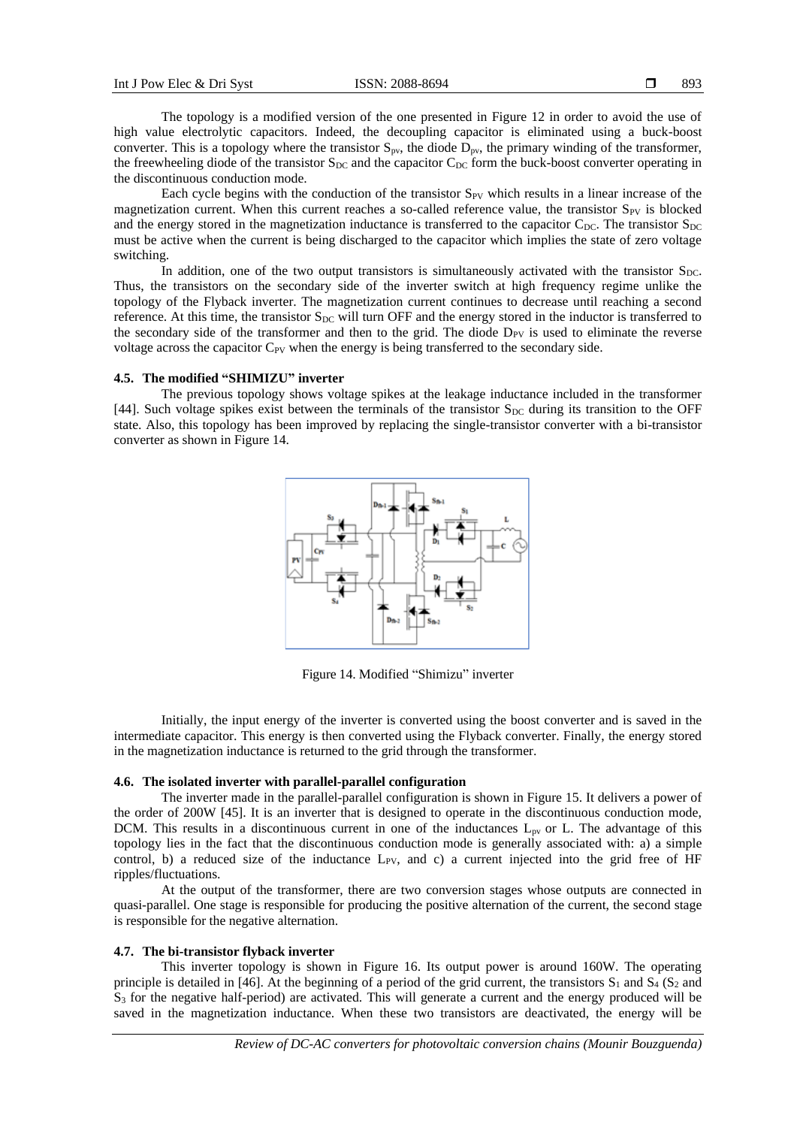The topology is a modified version of the one presented in Figure 12 in order to avoid the use of high value electrolytic capacitors. Indeed, the decoupling capacitor is eliminated using a buck-boost converter. This is a topology where the transistor  $S_{pv}$ , the diode  $D_{pv}$ , the primary winding of the transformer, the freewheeling diode of the transistor  $S_{DC}$  and the capacitor  $C_{DC}$  form the buck-boost converter operating in the discontinuous conduction mode.

Each cycle begins with the conduction of the transistor  $S_{PV}$  which results in a linear increase of the magnetization current. When this current reaches a so-called reference value, the transistor  $S_{PV}$  is blocked and the energy stored in the magnetization inductance is transferred to the capacitor  $C_{\text{DC}}$ . The transistor  $S_{\text{DC}}$ must be active when the current is being discharged to the capacitor which implies the state of zero voltage switching.

In addition, one of the two output transistors is simultaneously activated with the transistor  $S_{DC}$ . Thus, the transistors on the secondary side of the inverter switch at high frequency regime unlike the topology of the Flyback inverter. The magnetization current continues to decrease until reaching a second reference. At this time, the transistor  $S_{DC}$  will turn OFF and the energy stored in the inductor is transferred to the secondary side of the transformer and then to the grid. The diode  $D_{PV}$  is used to eliminate the reverse voltage across the capacitor  $C_{PV}$  when the energy is being transferred to the secondary side.

#### **4.5. The modified "SHIMIZU" inverter**

The previous topology shows voltage spikes at the leakage inductance included in the transformer [44]. Such voltage spikes exist between the terminals of the transistor  $S_{DC}$  during its transition to the OFF state. Also, this topology has been improved by replacing the single-transistor converter with a bi-transistor converter as shown in Figure 14.



Figure 14. Modified "Shimizu" inverter

Initially, the input energy of the inverter is converted using the boost converter and is saved in the intermediate capacitor. This energy is then converted using the Flyback converter. Finally, the energy stored in the magnetization inductance is returned to the grid through the transformer.

#### **4.6. The isolated inverter with parallel-parallel configuration**

The inverter made in the parallel-parallel configuration is shown in Figure 15. It delivers a power of the order of 200W [45]. It is an inverter that is designed to operate in the discontinuous conduction mode, DCM. This results in a discontinuous current in one of the inductances  $L_{pv}$  or L. The advantage of this topology lies in the fact that the discontinuous conduction mode is generally associated with: a) a simple control, b) a reduced size of the inductance  $L_{PV}$ , and c) a current injected into the grid free of HF ripples/fluctuations.

At the output of the transformer, there are two conversion stages whose outputs are connected in quasi-parallel. One stage is responsible for producing the positive alternation of the current, the second stage is responsible for the negative alternation.

## **4.7. The bi-transistor flyback inverter**

This inverter topology is shown in Figure 16. Its output power is around 160W. The operating principle is detailed in [46]. At the beginning of a period of the grid current, the transistors  $S_1$  and  $S_4$  ( $S_2$  and  $S_3$  for the negative half-period) are activated. This will generate a current and the energy produced will be saved in the magnetization inductance. When these two transistors are deactivated, the energy will be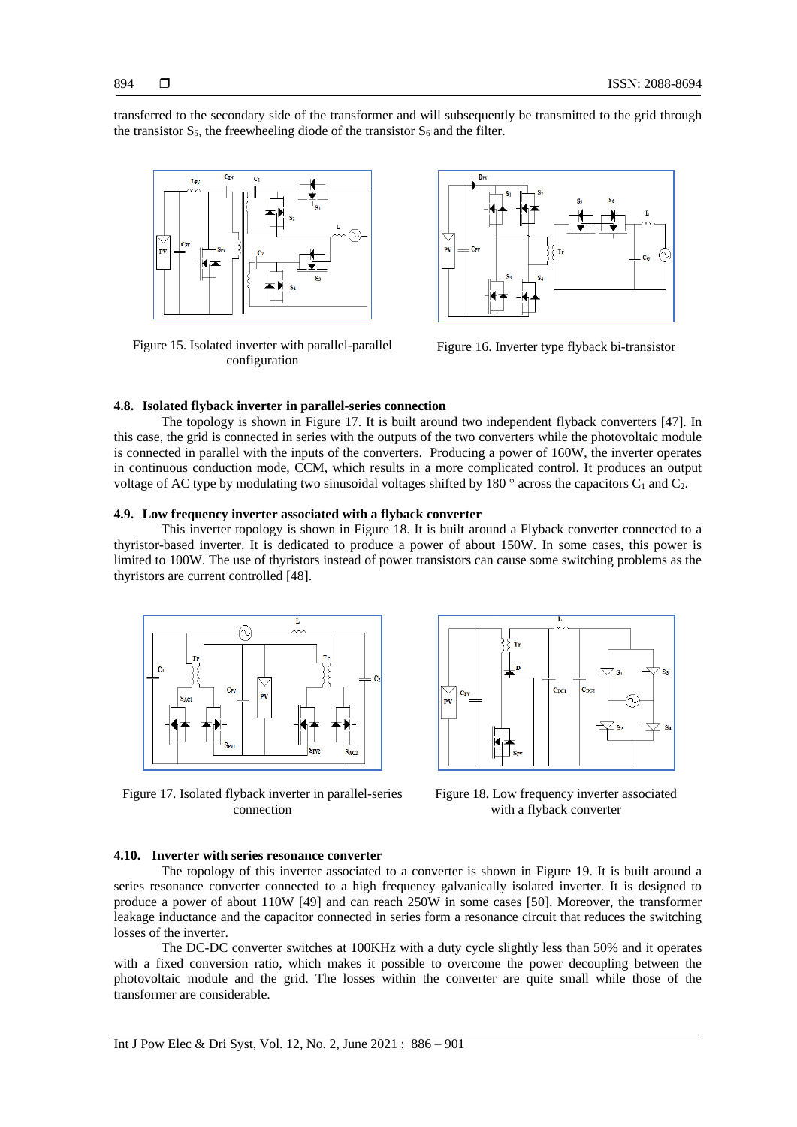transferred to the secondary side of the transformer and will subsequently be transmitted to the grid through the transistor  $S_5$ , the freewheeling diode of the transistor  $S_6$  and the filter.



Figure 15. Isolated inverter with parallel-parallel configuration



Figure 16. Inverter type flyback bi-transistor

## **4.8. Isolated flyback inverter in parallel-series connection**

The topology is shown in Figure 17. It is built around two independent flyback converters [47]. In this case, the grid is connected in series with the outputs of the two converters while the photovoltaic module is connected in parallel with the inputs of the converters. Producing a power of 160W, the inverter operates in continuous conduction mode, CCM, which results in a more complicated control. It produces an output voltage of AC type by modulating two sinusoidal voltages shifted by 180  $\degree$  across the capacitors C<sub>1</sub> and C<sub>2</sub>.

#### **4.9. Low frequency inverter associated with a flyback converter**

This inverter topology is shown in Figure 18. It is built around a Flyback converter connected to a thyristor-based inverter. It is dedicated to produce a power of about 150W. In some cases, this power is limited to 100W. The use of thyristors instead of power transistors can cause some switching problems as the thyristors are current controlled [48].



Figure 17. Isolated flyback inverter in parallel-series connection



Figure 18. Low frequency inverter associated with a flyback converter

#### **4.10. Inverter with series resonance converter**

The topology of this inverter associated to a converter is shown in Figure 19. It is built around a series resonance converter connected to a high frequency galvanically isolated inverter. It is designed to produce a power of about 110W [49] and can reach 250W in some cases [50]. Moreover, the transformer leakage inductance and the capacitor connected in series form a resonance circuit that reduces the switching losses of the inverter.

The DC-DC converter switches at 100KHz with a duty cycle slightly less than 50% and it operates with a fixed conversion ratio, which makes it possible to overcome the power decoupling between the photovoltaic module and the grid. The losses within the converter are quite small while those of the transformer are considerable.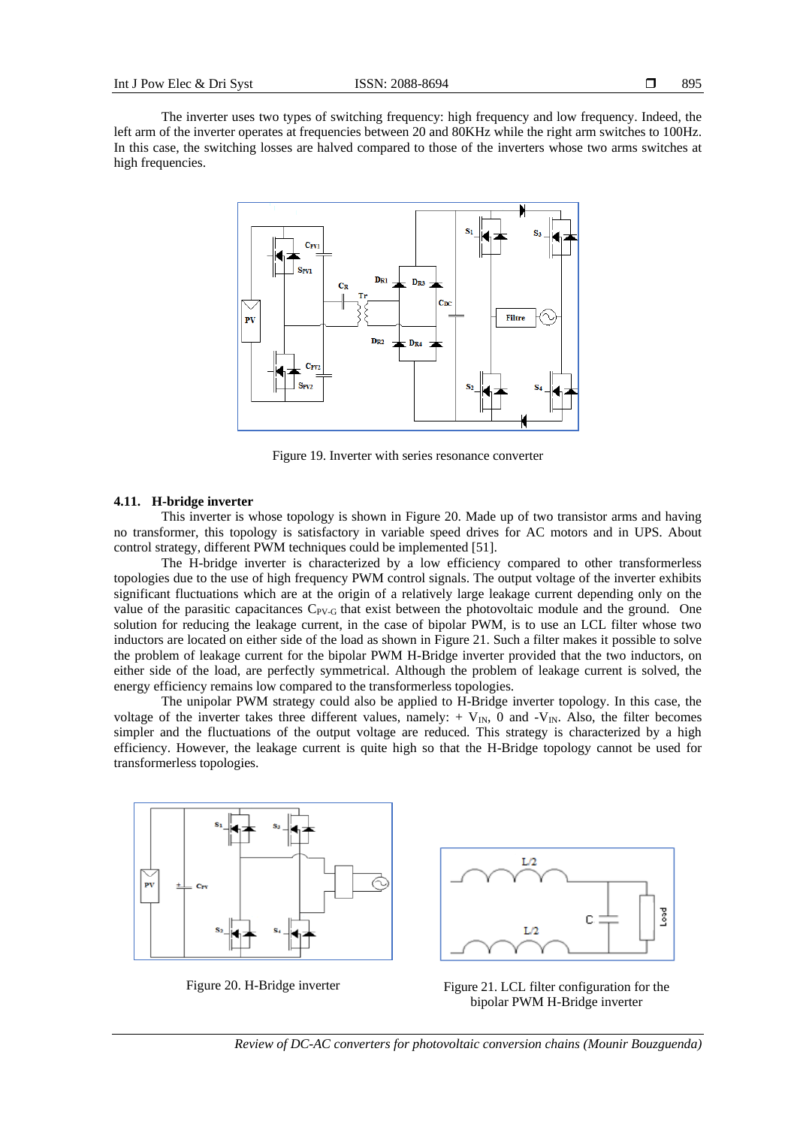The inverter uses two types of switching frequency: high frequency and low frequency. Indeed, the left arm of the inverter operates at frequencies between 20 and 80KHz while the right arm switches to 100Hz. In this case, the switching losses are halved compared to those of the inverters whose two arms switches at high frequencies.



Figure 19. Inverter with series resonance converter

#### **4.11. H-bridge inverter**

This inverter is whose topology is shown in Figure 20. Made up of two transistor arms and having no transformer, this topology is satisfactory in variable speed drives for AC motors and in UPS. About control strategy, different PWM techniques could be implemented [51].

The H-bridge inverter is characterized by a low efficiency compared to other transformerless topologies due to the use of high frequency PWM control signals. The output voltage of the inverter exhibits significant fluctuations which are at the origin of a relatively large leakage current depending only on the value of the parasitic capacitances  $C_{PV-G}$  that exist between the photovoltaic module and the ground. One solution for reducing the leakage current, in the case of bipolar PWM, is to use an LCL filter whose two inductors are located on either side of the load as shown in Figure 21. Such a filter makes it possible to solve the problem of leakage current for the bipolar PWM H-Bridge inverter provided that the two inductors, on either side of the load, are perfectly symmetrical. Although the problem of leakage current is solved, the energy efficiency remains low compared to the transformerless topologies.

The unipolar PWM strategy could also be applied to H-Bridge inverter topology. In this case, the voltage of the inverter takes three different values, namely:  $+ V_{IN}$ , 0 and  $-V_{IN}$ . Also, the filter becomes simpler and the fluctuations of the output voltage are reduced. This strategy is characterized by a high efficiency. However, the leakage current is quite high so that the H-Bridge topology cannot be used for transformerless topologies.





Figure 20. H-Bridge inverter Figure 21. LCL filter configuration for the bipolar PWM H-Bridge inverter

*Review of DC-AC converters for photovoltaic conversion chains (Mounir Bouzguenda)*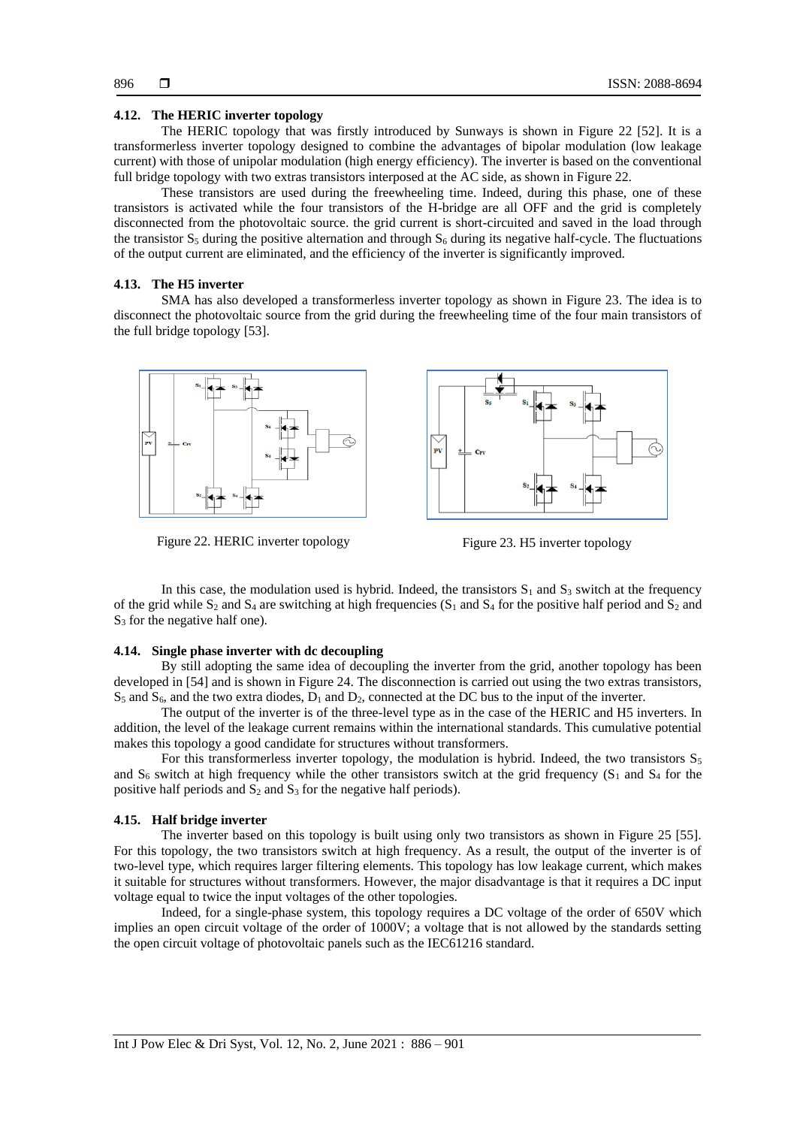#### **4.12. The HERIC inverter topology**

The HERIC topology that was firstly introduced by Sunways is shown in Figure 22 [52]. It is a transformerless inverter topology designed to combine the advantages of bipolar modulation (low leakage current) with those of unipolar modulation (high energy efficiency). The inverter is based on the conventional full bridge topology with two extras transistors interposed at the AC side, as shown in Figure 22.

These transistors are used during the freewheeling time. Indeed, during this phase, one of these transistors is activated while the four transistors of the H-bridge are all OFF and the grid is completely disconnected from the photovoltaic source. the grid current is short-circuited and saved in the load through the transistor  $S_5$  during the positive alternation and through  $S_6$  during its negative half-cycle. The fluctuations of the output current are eliminated, and the efficiency of the inverter is significantly improved.

#### **4.13. The H5 inverter**

SMA has also developed a transformerless inverter topology as shown in Figure 23. The idea is to disconnect the photovoltaic source from the grid during the freewheeling time of the four main transistors of the full bridge topology [53].



Figure 22. HERIC inverter topology Figure 23. H5 inverter topology

In this case, the modulation used is hybrid. Indeed, the transistors  $S_1$  and  $S_3$  switch at the frequency of the grid while  $S_2$  and  $S_4$  are switching at high frequencies  $(S_1$  and  $S_4$  for the positive half period and  $S_2$  and S<sub>3</sub> for the negative half one).

## **4.14. Single phase inverter with dc decoupling**

By still adopting the same idea of decoupling the inverter from the grid, another topology has been developed in [54] and is shown in Figure 24. The disconnection is carried out using the two extras transistors,  $S_5$  and  $S_6$ , and the two extra diodes,  $D_1$  and  $D_2$ , connected at the DC bus to the input of the inverter.

The output of the inverter is of the three-level type as in the case of the HERIC and H5 inverters. In addition, the level of the leakage current remains within the international standards. This cumulative potential makes this topology a good candidate for structures without transformers.

For this transformerless inverter topology, the modulation is hybrid. Indeed, the two transistors  $S_5$ and  $S_6$  switch at high frequency while the other transistors switch at the grid frequency ( $S_1$  and  $S_4$  for the positive half periods and  $S_2$  and  $S_3$  for the negative half periods).

#### **4.15. Half bridge inverter**

The inverter based on this topology is built using only two transistors as shown in Figure 25 [55]. For this topology, the two transistors switch at high frequency. As a result, the output of the inverter is of two-level type, which requires larger filtering elements. This topology has low leakage current, which makes it suitable for structures without transformers. However, the major disadvantage is that it requires a DC input voltage equal to twice the input voltages of the other topologies.

Indeed, for a single-phase system, this topology requires a DC voltage of the order of 650V which implies an open circuit voltage of the order of 1000V; a voltage that is not allowed by the standards setting the open circuit voltage of photovoltaic panels such as the IEC61216 standard.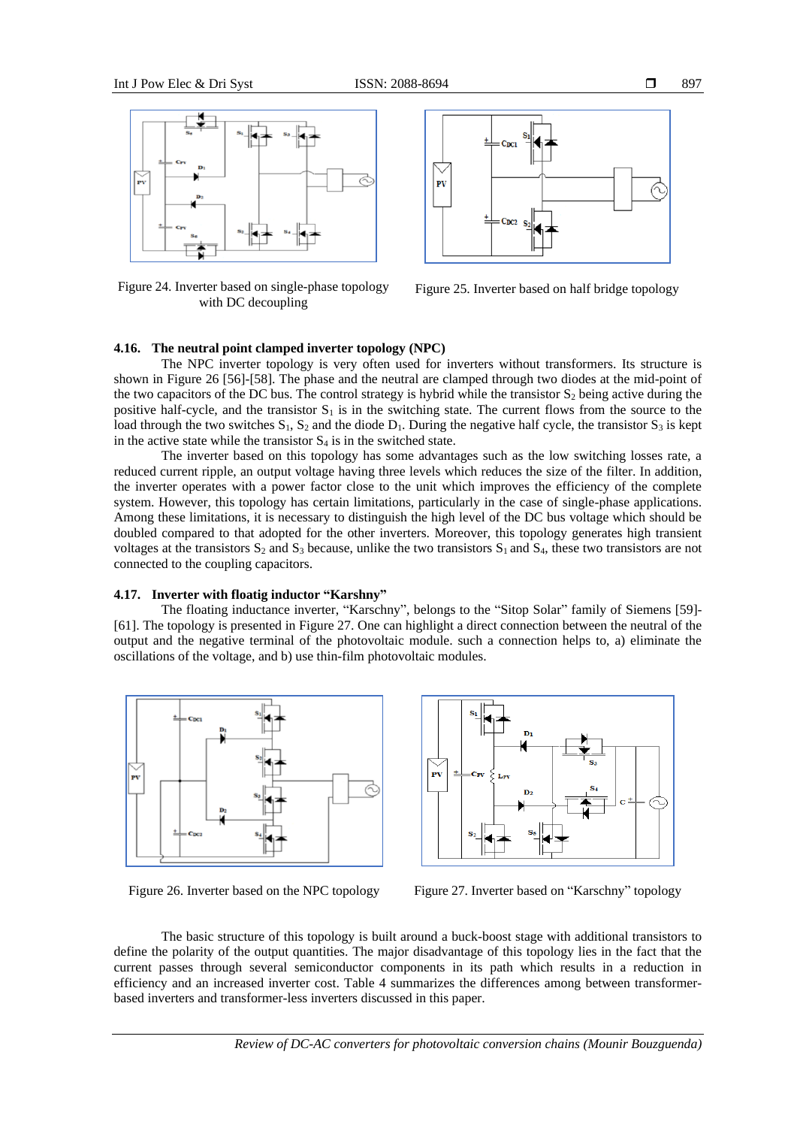

Figure 24. Inverter based on single-phase topology with DC decoupling



Figure 25. Inverter based on half bridge topology

## **4.16. The neutral point clamped inverter topology (NPC)**

The NPC inverter topology is very often used for inverters without transformers. Its structure is shown in Figure 26 [56]-[58]. The phase and the neutral are clamped through two diodes at the mid-point of the two capacitors of the DC bus. The control strategy is hybrid while the transistor  $S_2$  being active during the positive half-cycle, and the transistor  $S_1$  is in the switching state. The current flows from the source to the load through the two switches  $S_1$ ,  $S_2$  and the diode  $D_1$ . During the negative half cycle, the transistor  $S_3$  is kept in the active state while the transistor  $S_4$  is in the switched state.

The inverter based on this topology has some advantages such as the low switching losses rate, a reduced current ripple, an output voltage having three levels which reduces the size of the filter. In addition, the inverter operates with a power factor close to the unit which improves the efficiency of the complete system. However, this topology has certain limitations, particularly in the case of single-phase applications. Among these limitations, it is necessary to distinguish the high level of the DC bus voltage which should be doubled compared to that adopted for the other inverters. Moreover, this topology generates high transient voltages at the transistors  $S_2$  and  $S_3$  because, unlike the two transistors  $S_1$  and  $S_4$ , these two transistors are not connected to the coupling capacitors.

#### **4.17. Inverter with floatig inductor "Karshny"**

The floating inductance inverter, "Karschny", belongs to the "Sitop Solar" family of Siemens [59]- [61]. The topology is presented in Figure 27. One can highlight a direct connection between the neutral of the output and the negative terminal of the photovoltaic module. such a connection helps to, a) eliminate the oscillations of the voltage, and b) use thin-film photovoltaic modules.



Figure 26. Inverter based on the NPC topology Figure 27. Inverter based on "Karschny" topology



The basic structure of this topology is built around a buck-boost stage with additional transistors to define the polarity of the output quantities. The major disadvantage of this topology lies in the fact that the current passes through several semiconductor components in its path which results in a reduction in efficiency and an increased inverter cost. Table 4 summarizes the differences among between transformerbased inverters and transformer-less inverters discussed in this paper.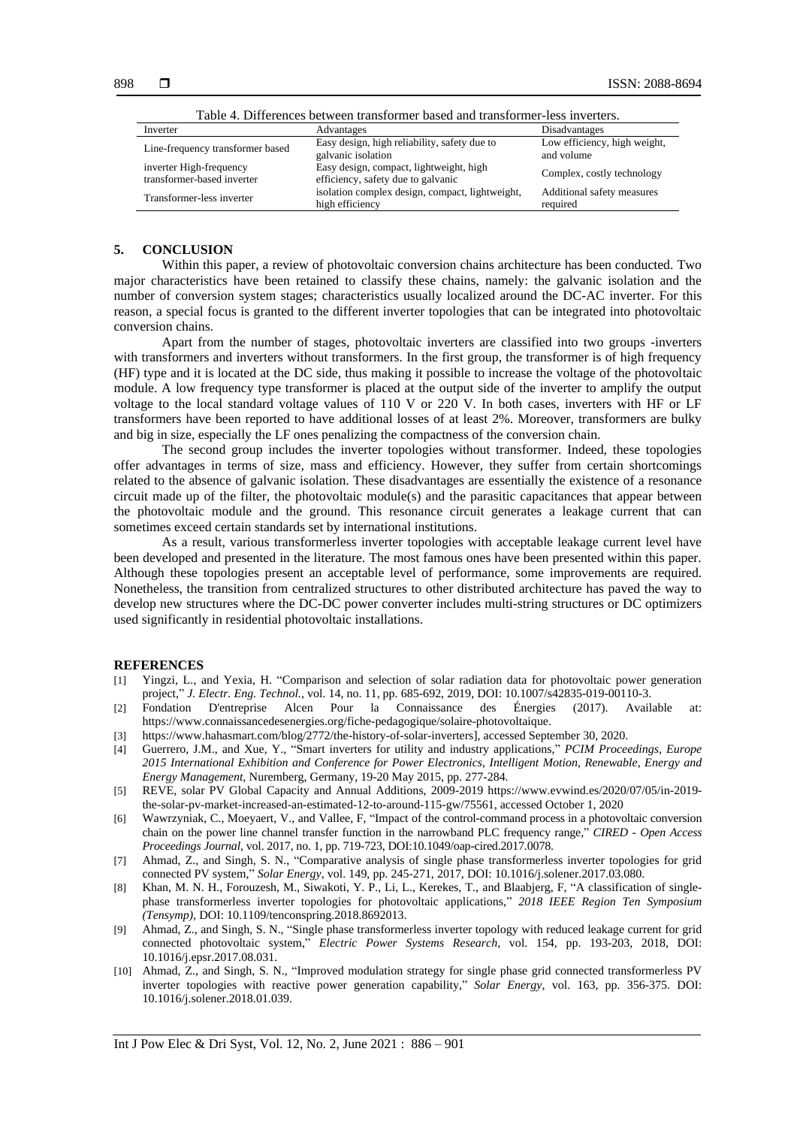| Lavie 4. Differences between transformer based and transformer-less inverters. |                                                                               |                                            |  |
|--------------------------------------------------------------------------------|-------------------------------------------------------------------------------|--------------------------------------------|--|
| Inverter                                                                       | Advantages                                                                    | Disadvantages                              |  |
| Line-frequency transformer based                                               | Easy design, high reliability, safety due to<br>galvanic isolation            | Low efficiency, high weight,<br>and volume |  |
| inverter High-frequency<br>transformer-based inverter                          | Easy design, compact, lightweight, high<br>efficiency, safety due to galvanic | Complex, costly technology                 |  |
| Transformer-less inverter                                                      | isolation complex design, compact, lightweight,<br>high efficiency            | Additional safety measures<br>required     |  |

Table 4. Differences between transformer based and transformer-less inverters.

## **5. CONCLUSION**

Within this paper, a review of photovoltaic conversion chains architecture has been conducted. Two major characteristics have been retained to classify these chains, namely: the galvanic isolation and the number of conversion system stages; characteristics usually localized around the DC-AC inverter. For this reason, a special focus is granted to the different inverter topologies that can be integrated into photovoltaic conversion chains.

Apart from the number of stages, photovoltaic inverters are classified into two groups -inverters with transformers and inverters without transformers. In the first group, the transformer is of high frequency (HF) type and it is located at the DC side, thus making it possible to increase the voltage of the photovoltaic module. A low frequency type transformer is placed at the output side of the inverter to amplify the output voltage to the local standard voltage values of 110 V or 220 V. In both cases, inverters with HF or LF transformers have been reported to have additional losses of at least 2%. Moreover, transformers are bulky and big in size, especially the LF ones penalizing the compactness of the conversion chain.

The second group includes the inverter topologies without transformer. Indeed, these topologies offer advantages in terms of size, mass and efficiency. However, they suffer from certain shortcomings related to the absence of galvanic isolation. These disadvantages are essentially the existence of a resonance circuit made up of the filter, the photovoltaic module(s) and the parasitic capacitances that appear between the photovoltaic module and the ground. This resonance circuit generates a leakage current that can sometimes exceed certain standards set by international institutions.

As a result, various transformerless inverter topologies with acceptable leakage current level have been developed and presented in the literature. The most famous ones have been presented within this paper. Although these topologies present an acceptable level of performance, some improvements are required. Nonetheless, the transition from centralized structures to other distributed architecture has paved the way to develop new structures where the DC-DC power converter includes multi-string structures or DC optimizers used significantly in residential photovoltaic installations.

#### **REFERENCES**

- [1] Yingzi, L., and Yexia, H. "Comparison and selection of solar radiation data for photovoltaic power generation project," *J. Electr. Eng. Technol.,* vol. 14, no. 11, pp. 685-692, 2019, DOI: 10.1007/s42835-019-00110-3.
- [2] Fondation D'entreprise Alcen Pour la Connaissance des Énergies (2017). Available at: https://www.connaissancedesenergies.org/fiche-pedagogique/solaire-photovoltaique.
- [3] https://www.hahasmart.com/blog/2772/the-history-of-solar-inverters], accessed September 30, 2020.
- [4] Guerrero, J.M., and Xue, Y., "Smart inverters for utility and industry applications," *PCIM Proceedings, Europe 2015 International Exhibition and Conference for Power Electronics, Intelligent Motion, Renewable, Energy and Energy Management,* Nuremberg, Germany, 19-20 May 2015, pp. 277-284.
- [5] REVE, solar PV Global Capacity and Annual Additions, 2009-2019 https://www.evwind.es/2020/07/05/in-2019 the-solar-pv-market-increased-an-estimated-12-to-around-115-gw/75561, accessed October 1, 2020
- [6] Wawrzyniak, C., Moeyaert, V., and Vallee, F, "Impact of the control-command process in a photovoltaic conversion chain on the power line channel transfer function in the narrowband PLC frequency range," *CIRED - Open Access Proceedings Journal*, vol. 2017, no. 1, pp. 719-723, DOI:10.1049/oap-cired.2017.0078.
- [7] Ahmad, Z., and Singh, S. N., "Comparative analysis of single phase transformerless inverter topologies for grid connected PV system," *Solar Energy*, vol. 149, pp. 245-271, 2017, DOI: 10.1016/j.solener.2017.03.080.
- [8] Khan, M. N. H., Forouzesh, M., Siwakoti, Y. P., Li, L., Kerekes, T., and Blaabjerg, F, "A classification of singlephase transformerless inverter topologies for photovoltaic applications," *2018 IEEE Region Ten Symposium (Tensymp)*, DOI: 10.1109/tenconspring.2018.8692013.
- [9] Ahmad, Z., and Singh, S. N., "Single phase transformerless inverter topology with reduced leakage current for grid connected photovoltaic system," *Electric Power Systems Research*, vol. 154, pp. 193-203, 2018, DOI: 10.1016/j.epsr.2017.08.031.
- [10] Ahmad, Z., and Singh, S. N., "Improved modulation strategy for single phase grid connected transformerless PV inverter topologies with reactive power generation capability," *Solar Energy*, vol. 163, pp. 356-375. DOI: 10.1016/j.solener.2018.01.039.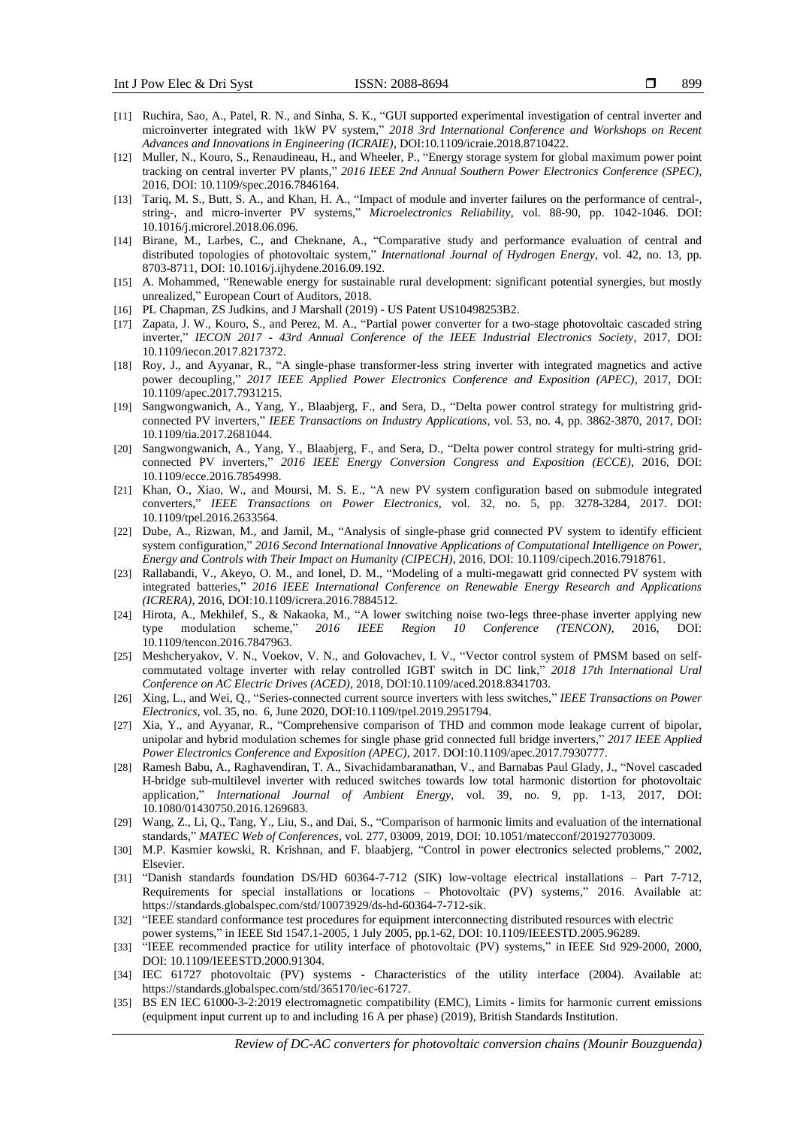- [11] Ruchira, Sao, A., Patel, R. N., and Sinha, S. K., "GUI supported experimental investigation of central inverter and microinverter integrated with 1kW PV system," *2018 3rd International Conference and Workshops on Recent Advances and Innovations in Engineering (ICRAIE)*, DOI:10.1109/icraie.2018.8710422.
- [12] Muller, N., Kouro, S., Renaudineau, H., and Wheeler, P., "Energy storage system for global maximum power point tracking on central inverter PV plants," *2016 IEEE 2nd Annual Southern Power Electronics Conference (SPEC)*, 2016, DOI: 10.1109/spec.2016.7846164.
- [13] Tariq, M. S., Butt, S. A., and Khan, H. A., "Impact of module and inverter failures on the performance of central-, string-, and micro-inverter PV systems," *Microelectronics Reliability*, vol. 88-90, pp. 1042-1046. DOI: 10.1016/j.microrel.2018.06.096.
- [14] Birane, M., Larbes, C., and Cheknane, A., "Comparative study and performance evaluation of central and distributed topologies of photovoltaic system," *International Journal of Hydrogen Energy*, vol. 42, no. 13, pp. 8703-8711, DOI: 10.1016/j.ijhydene.2016.09.192.
- [15] A. Mohammed, "Renewable energy for sustainable rural development: significant potential synergies, but mostly unrealized," European Court of Auditors, 2018.
- [16] PL Chapman, ZS Judkins, and J Marshall (2019) US Patent US10498253B2.
- [17] Zapata, J. W., Kouro, S., and Perez, M. A., "Partial power converter for a two-stage photovoltaic cascaded string inverter," *IECON 2017 - 43rd Annual Conference of the IEEE Industrial Electronics Society*, 2017, DOI: 10.1109/iecon.2017.8217372.
- [18] Roy, J., and Ayyanar, R., "A single-phase transformer-less string inverter with integrated magnetics and active power decoupling," *2017 IEEE Applied Power Electronics Conference and Exposition (APEC)*, 2017, DOI: 10.1109/apec.2017.7931215.
- [19] Sangwongwanich, A., Yang, Y., Blaabjerg, F., and Sera, D., "Delta power control strategy for multistring gridconnected PV inverters," *IEEE Transactions on Industry Applications*, vol. 53, no. 4, pp. 3862-3870, 2017, DOI: 10.1109/tia.2017.2681044.
- [20] Sangwongwanich, A., Yang, Y., Blaabjerg, F., and Sera, D., "Delta power control strategy for multi-string gridconnected PV inverters," *2016 IEEE Energy Conversion Congress and Exposition (ECCE)*, 2016, DOI: 10.1109/ecce.2016.7854998.
- [21] Khan, O., Xiao, W., and Moursi, M. S. E., "A new PV system configuration based on submodule integrated converters," *IEEE Transactions on Power Electronics*, vol. 32, no. 5, pp. 3278-3284, 2017. DOI: 10.1109/tpel.2016.2633564.
- [22] Dube, A., Rizwan, M., and Jamil, M., "Analysis of single-phase grid connected PV system to identify efficient system configuration," *2016 Second International Innovative Applications of Computational Intelligence on Power, Energy and Controls with Their Impact on Humanity (CIPECH)*, 2016, DOI: 10.1109/cipech.2016.7918761.
- [23] Rallabandi, V., Akeyo, O. M., and Ionel, D. M., "Modeling of a multi-megawatt grid connected PV system with integrated batteries," *2016 IEEE International Conference on Renewable Energy Research and Applications (ICRERA)*, 2016, DOI:10.1109/icrera.2016.7884512.
- [24] Hirota, A., Mekhilef, S., & Nakaoka, M., "A lower switching noise two-legs three-phase inverter applying new type modulation scheme," 2016 IEEE Region 10 Conference (TENCON), 2016, DOI: type modulation scheme," *2016 IEEE Region 10 Conference (TENCON)*, 2016, DOI: 10.1109/tencon.2016.7847963.
- [25] Meshcheryakov, V. N., Voekov, V. N., and Golovachev, I. V., "Vector control system of PMSM based on selfcommutated voltage inverter with relay controlled IGBT switch in DC link," *2018 17th International Ural Conference on AC Electric Drives (ACED)*, 2018, DOI:10.1109/aced.2018.8341703.
- [26] Xing, L., and Wei, Q., "Series-connected current source inverters with less switches," *IEEE Transactions on Power Electronics*, vol. 35, no. 6, June 2020, DOI:10.1109/tpel.2019.2951794.
- [27] Xia, Y., and Ayyanar, R., "Comprehensive comparison of THD and common mode leakage current of bipolar, unipolar and hybrid modulation schemes for single phase grid connected full bridge inverters," *2017 IEEE Applied Power Electronics Conference and Exposition (APEC)*, 2017. DOI:10.1109/apec.2017.7930777.
- [28] Ramesh Babu, A., Raghavendiran, T. A., Sivachidambaranathan, V., and Barnabas Paul Glady, J., "Novel cascaded H-bridge sub-multilevel inverter with reduced switches towards low total harmonic distortion for photovoltaic application," *International Journal of Ambient Energy*, vol. 39, no. 9, pp. 1-13, 2017, DOI: 10.1080/01430750.2016.1269683.
- [29] Wang, Z., Li, Q., Tang, Y., Liu, S., and Dai, S., "Comparison of harmonic limits and evaluation of the international standards," *MATEC Web of Conferences*, vol. 277, 03009, 2019, DOI: 10.1051/matecconf/201927703009.
- [30] M.P. Kasmier kowski, R. Krishnan, and F. blaabjerg, "Control in power electronics selected problems," 2002, Elsevier.
- [31] "Danish standards foundation DS/HD 60364-7-712 (SIK) low-voltage electrical installations Part 7-712, Requirements for special installations or locations – Photovoltaic (PV) systems," 2016. Available at: https://standards.globalspec.com/std/10073929/ds-hd-60364-7-712-sik.
- [32] "IEEE standard conformance test procedures for equipment interconnecting distributed resources with electric power systems," in IEEE Std 1547.1-2005, 1 July 2005, pp.1-62, DOI: 10.1109/IEEESTD.2005.96289.
- [33] "IEEE recommended practice for utility interface of photovoltaic (PV) systems," in IEEE Std 929-2000, 2000, DOI: 10.1109/IEEESTD.2000.91304.
- [34] IEC 61727 photovoltaic (PV) systems Characteristics of the utility interface (2004). Available at: https://standards.globalspec.com/std/365170/iec-61727.
- [35] BS EN IEC 61000-3-2:2019 electromagnetic compatibility (EMC), Limits limits for harmonic current emissions (equipment input current up to and including 16 A per phase) (2019), British Standards Institution.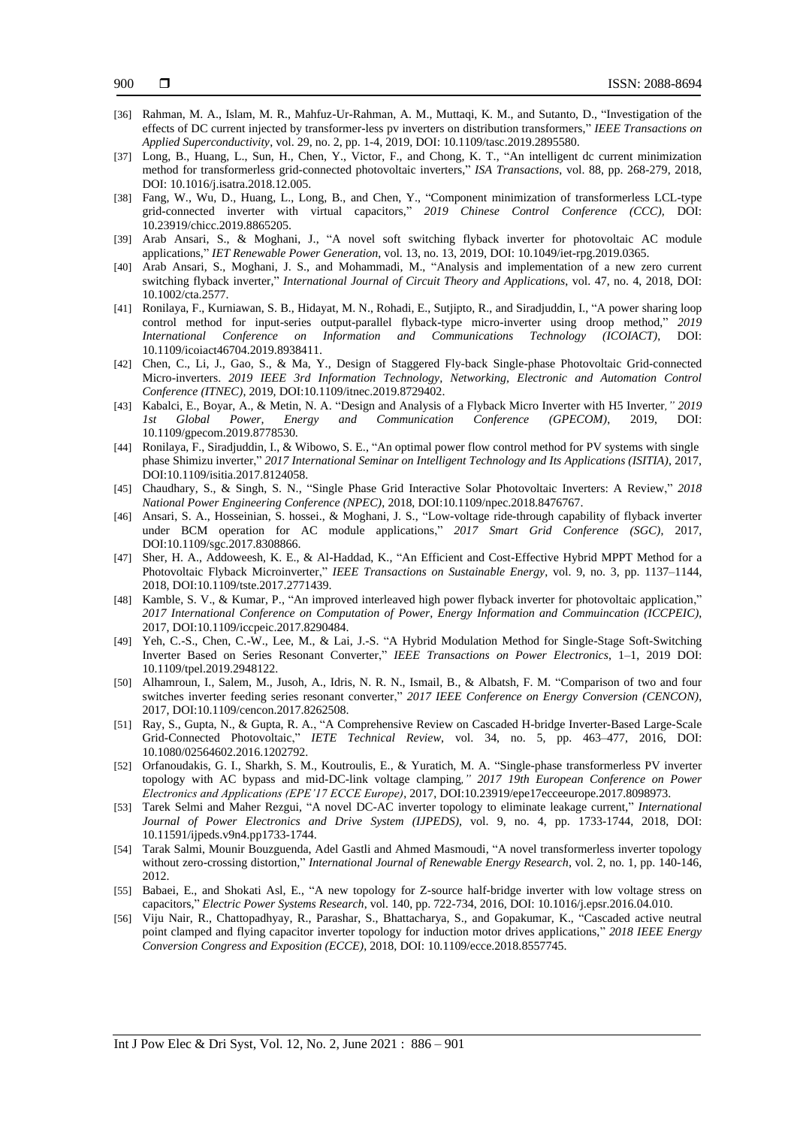- [36] Rahman, M. A., Islam, M. R., Mahfuz-Ur-Rahman, A. M., Muttaqi, K. M., and Sutanto, D., "Investigation of the effects of DC current injected by transformer-less pv inverters on distribution transformers," *IEEE Transactions on Applied Superconductivity*, vol. 29, no. 2, pp. 1-4, 2019, DOI: 10.1109/tasc.2019.2895580.
- [37] Long, B., Huang, L., Sun, H., Chen, Y., Victor, F., and Chong, K. T., "An intelligent dc current minimization method for transformerless grid-connected photovoltaic inverters," *ISA Transactions*, vol. 88, pp. 268-279, 2018, DOI: 10.1016/j.isatra.2018.12.005.
- [38] Fang, W., Wu, D., Huang, L., Long, B., and Chen, Y., "Component minimization of transformerless LCL-type grid-connected inverter with virtual capacitors," *2019 Chinese Control Conference (CCC),* DOI: 10.23919/chicc.2019.8865205.
- [39] Arab Ansari, S., & Moghani, J., "A novel soft switching flyback inverter for photovoltaic AC module applications," *IET Renewable Power Generation*, vol. 13, no. 13, 2019, DOI: 10.1049/iet-rpg.2019.0365.
- [40] Arab Ansari, S., Moghani, J. S., and Mohammadi, M., "Analysis and implementation of a new zero current switching flyback inverter," *International Journal of Circuit Theory and Applications*, vol. 47, no. 4, 2018, DOI: 10.1002/cta.2577.
- [41] Ronilaya, F., Kurniawan, S. B., Hidayat, M. N., Rohadi, E., Sutjipto, R., and Siradjuddin, I., "A power sharing loop control method for input-series output-parallel flyback-type micro-inverter using droop method," *2019 International Conference on Information and Communications Technology (ICOIACT)*, DOI: 10.1109/icoiact46704.2019.8938411.
- [42] Chen, C., Li, J., Gao, S., & Ma, Y., Design of Staggered Fly-back Single-phase Photovoltaic Grid-connected Micro-inverters. *2019 IEEE 3rd Information Technology, Networking, Electronic and Automation Control Conference (ITNEC)*, 2019, DOI:10.1109/itnec.2019.8729402.
- [43] Kabalci, E., Boyar, A., & Metin, N. A. "Design and Analysis of a Flyback Micro Inverter with H5 Inverter*," 2019 1st Global Power, Energy and Communication Conference (GPECOM)*, 2019, DOI: 10.1109/gpecom.2019.8778530.
- [44] Ronilaya, F., Siradjuddin, I., & Wibowo, S. E., "An optimal power flow control method for PV systems with single phase Shimizu inverter," *2017 International Seminar on Intelligent Technology and Its Applications (ISITIA)*, 2017, DOI:10.1109/isitia.2017.8124058.
- [45] Chaudhary, S., & Singh, S. N., "Single Phase Grid Interactive Solar Photovoltaic Inverters: A Review," *2018 National Power Engineering Conference (NPEC)*, 2018, DOI:10.1109/npec.2018.8476767.
- [46] Ansari, S. A., Hosseinian, S. hossei., & Moghani, J. S., "Low-voltage ride-through capability of flyback inverter under BCM operation for AC module applications," *2017 Smart Grid Conference (SGC)*, 2017, DOI:10.1109/sgc.2017.8308866.
- [47] Sher, H. A., Addoweesh, K. E., & Al-Haddad, K., "An Efficient and Cost-Effective Hybrid MPPT Method for a Photovoltaic Flyback Microinverter," *IEEE Transactions on Sustainable Energy*, vol. 9, no. 3, pp. 1137–1144, 2018, DOI:10.1109/tste.2017.2771439.
- [48] Kamble, S. V., & Kumar, P., "An improved interleaved high power flyback inverter for photovoltaic application," *2017 International Conference on Computation of Power, Energy Information and Commuincation (ICCPEIC)*, 2017, DOI:10.1109/iccpeic.2017.8290484.
- [49] Yeh, C.-S., Chen, C.-W., Lee, M., & Lai, J.-S. "A Hybrid Modulation Method for Single-Stage Soft-Switching Inverter Based on Series Resonant Converter," *IEEE Transactions on Power Electronics*, 1–1, 2019 DOI: 10.1109/tpel.2019.2948122.
- [50] Alhamroun, I., Salem, M., Jusoh, A., Idris, N. R. N., Ismail, B., & Albatsh, F. M. "Comparison of two and four switches inverter feeding series resonant converter," *2017 IEEE Conference on Energy Conversion (CENCON)*, 2017, DOI:10.1109/cencon.2017.8262508.
- [51] Ray, S., Gupta, N., & Gupta, R. A., "A Comprehensive Review on Cascaded H-bridge Inverter-Based Large-Scale Grid-Connected Photovoltaic," *IETE Technical Review*, vol. 34, no. 5, pp. 463–477, 2016, DOI: 10.1080/02564602.2016.1202792.
- [52] Orfanoudakis, G. I., Sharkh, S. M., Koutroulis, E., & Yuratich, M. A. "Single-phase transformerless PV inverter topology with AC bypass and mid-DC-link voltage clamping*," 2017 19th European Conference on Power Electronics and Applications (EPE'17 ECCE Europe)*, 2017, DOI:10.23919/epe17ecceeurope.2017.8098973.
- [53] Tarek Selmi and Maher Rezgui, "A novel DC-AC inverter topology to eliminate leakage current," *International Journal of Power Electronics and Drive System (IJPEDS)*, vol. 9, no. 4, pp. 1733-1744, 2018, DOI: 10.11591/ijpeds.v9n4.pp1733-1744.
- [54] Tarak Salmi, Mounir Bouzguenda, Adel Gastli and Ahmed Masmoudi, "A novel transformerless inverter topology without zero-crossing distortion," *International Journal of Renewable Energy Research*, vol. 2, no. 1, pp. 140-146, 2012.
- [55] Babaei, E., and Shokati Asl, E., "A new topology for Z-source half-bridge inverter with low voltage stress on capacitors," *Electric Power Systems Research*, vol. 140, pp. 722-734, 2016, DOI: 10.1016/j.epsr.2016.04.010.
- [56] Viju Nair, R., Chattopadhyay, R., Parashar, S., Bhattacharya, S., and Gopakumar, K., "Cascaded active neutral point clamped and flying capacitor inverter topology for induction motor drives applications," *2018 IEEE Energy Conversion Congress and Exposition (ECCE)*, 2018, DOI: 10.1109/ecce.2018.8557745.